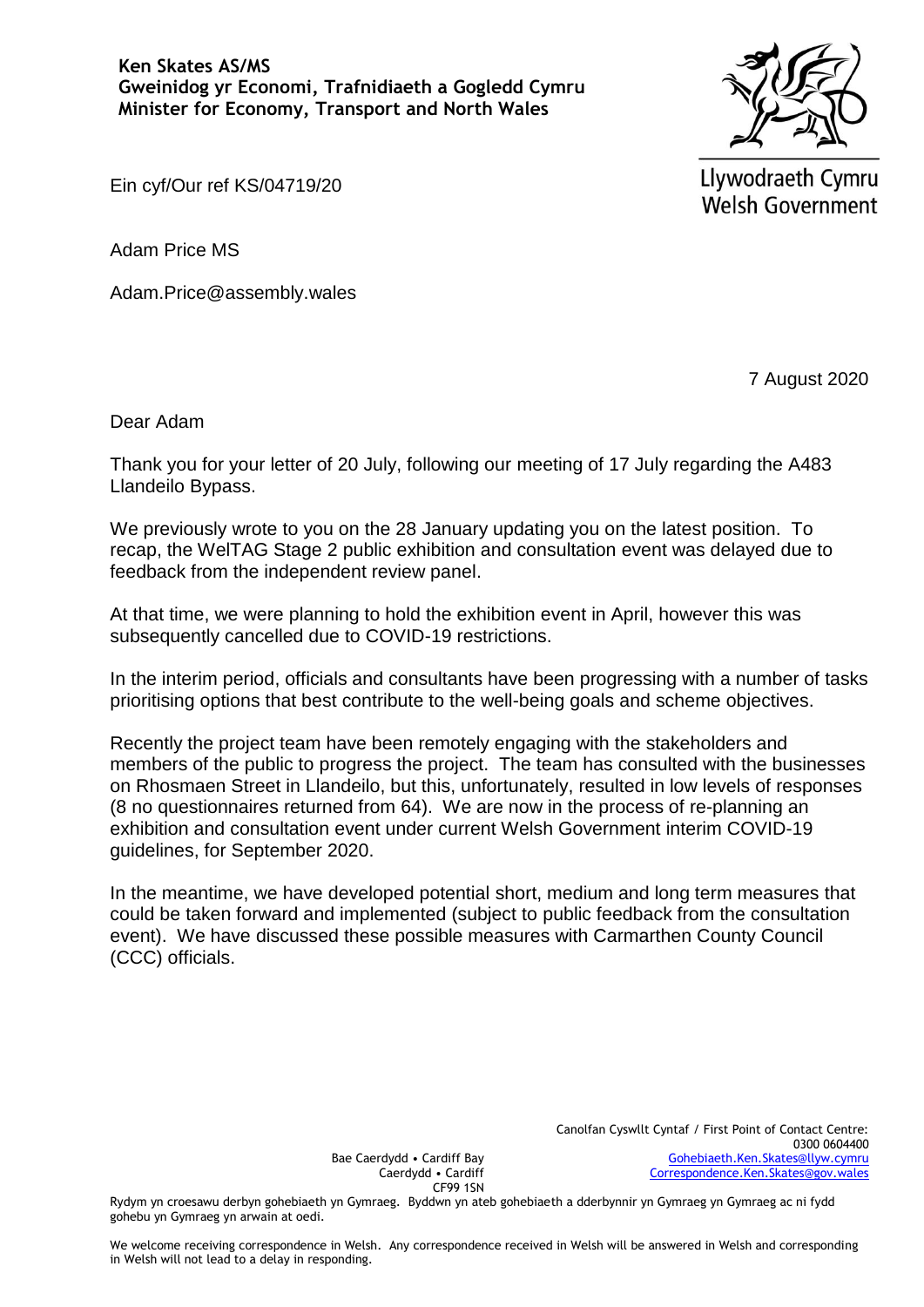

Llywodraeth Cymru **Welsh Government** 

Ein cyf/Our ref KS/04719/20

Adam Price MS

Adam.Price@assembly.wales

7 August 2020

Dear Adam

Thank you for your letter of 20 July, following our meeting of 17 July regarding the A483 Llandeilo Bypass.

We previously wrote to you on the 28 January updating you on the latest position. To recap, the WelTAG Stage 2 public exhibition and consultation event was delayed due to feedback from the independent review panel.

At that time, we were planning to hold the exhibition event in April, however this was subsequently cancelled due to COVID-19 restrictions.

In the interim period, officials and consultants have been progressing with a number of tasks prioritising options that best contribute to the well-being goals and scheme objectives.

Recently the project team have been remotely engaging with the stakeholders and members of the public to progress the project. The team has consulted with the businesses on Rhosmaen Street in Llandeilo, but this, unfortunately, resulted in low levels of responses (8 no questionnaires returned from 64). We are now in the process of re-planning an exhibition and consultation event under current Welsh Government interim COVID-19 guidelines, for September 2020.

In the meantime, we have developed potential short, medium and long term measures that could be taken forward and implemented (subject to public feedback from the consultation event). We have discussed these possible measures with Carmarthen County Council (CCC) officials.

Bae Caerdydd • Cardiff Bay Caerdydd • Cardiff CF99 1SN

Rydym yn croesawu derbyn gohebiaeth yn Gymraeg. Byddwn yn ateb gohebiaeth a dderbynnir yn Gymraeg yn Gymraeg ac ni fydd gohebu yn Gymraeg yn arwain at oedi.

We welcome receiving correspondence in Welsh. Any correspondence received in Welsh will be answered in Welsh and corresponding in Welsh will not lead to a delay in responding.